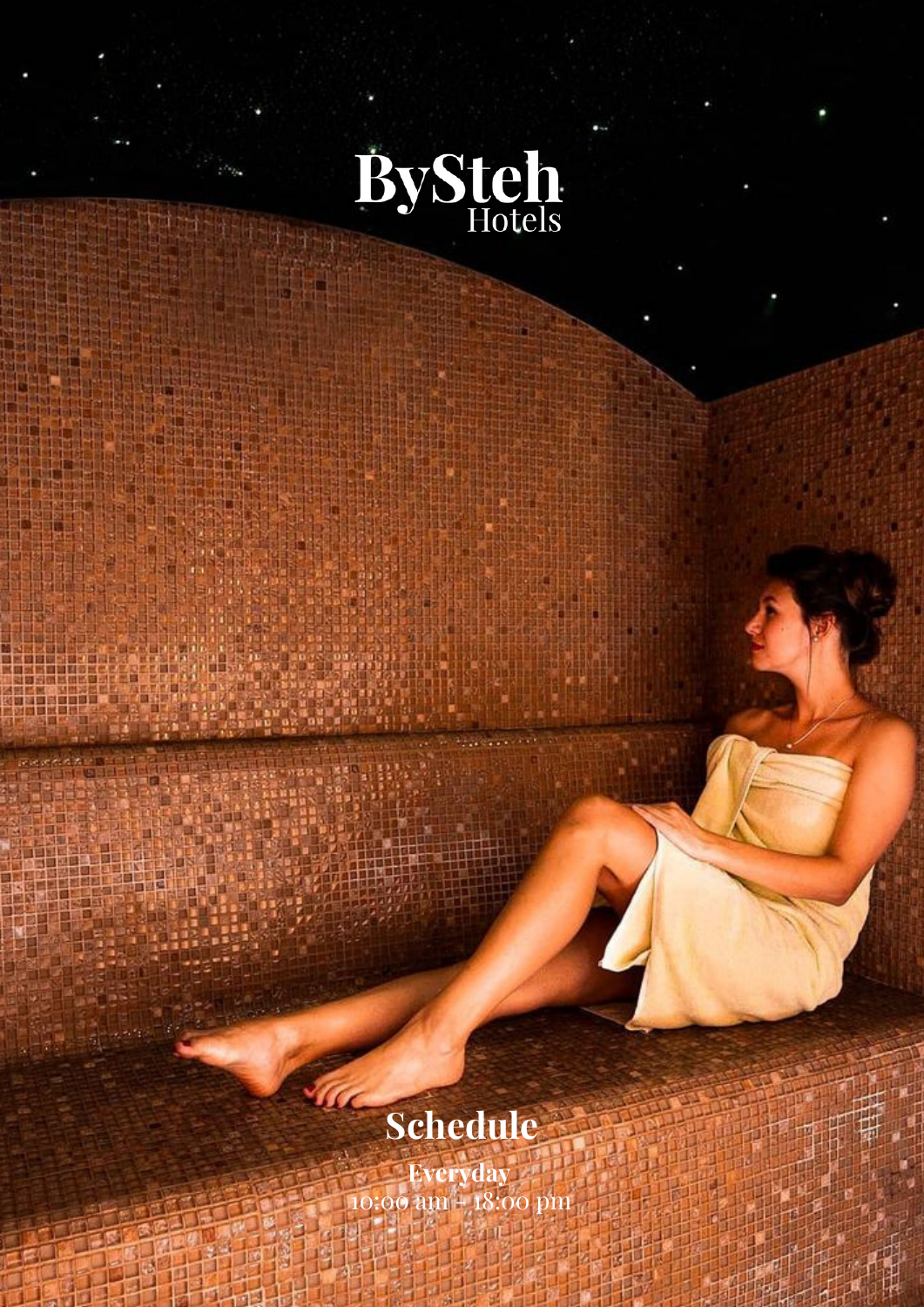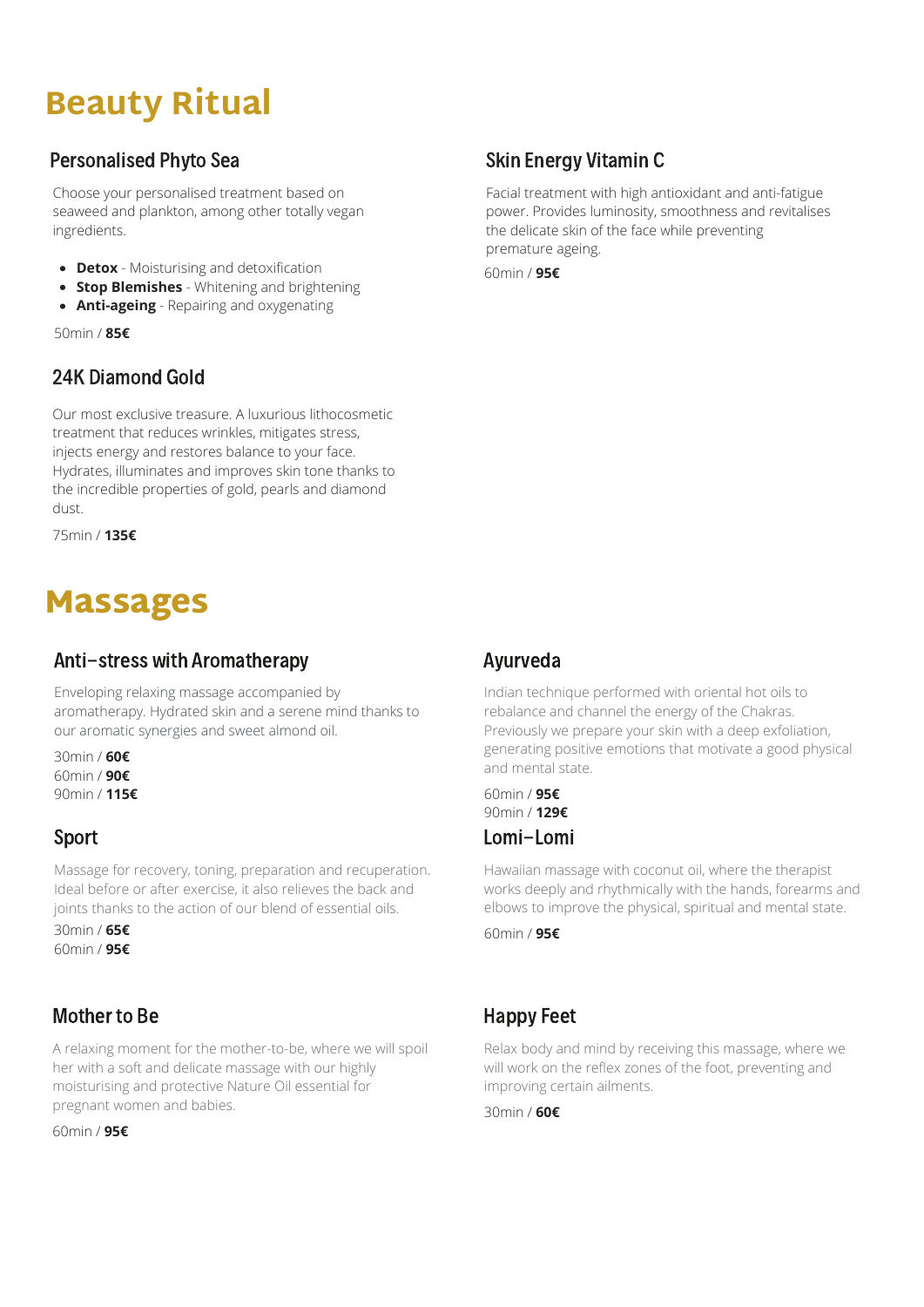# **Beauty Ritual**

## Personalised Phyto Sea

Choose your personalised treatment based on seaweed and plankton, among other totally vegan ingredients.

- **Detox** Moisturising and detoxification
- **Stop Blemishes** Whitening and brightening
- **Anti-ageing** Repairing and oxygenating

50min / **85€**

## 24K Diamond Gold

Our most exclusive treasure. A luxurious lithocosmetic treatment that reduces wrinkles, mitigates stress, injects energy and restores balance to your face. Hydrates, illuminates and improves skin tone thanks to the incredible properties of gold, pearls and diamond dust.

75min / **135€**

## Massages

### Anti-stress with Aromatherapy

Enveloping relaxing massage accompanied by aromatherapy. Hydrated skin and a serene mind thanks to our aromatic synergies and sweet almond oil.

30min / **60€** 60min / **90€** 90min / **115€**

#### Sport

Massage for recovery, toning, preparation and recuperation. Ideal before or after exercise, it also relieves the back and joints thanks to the action of our blend of essential oils.

30min / **65€** 60min / **95€**

## Mother to Be

A relaxing moment for the mother-to-be, where we will spoil her with a soft and delicate massage with our highly moisturising and protective Nature Oil essential for pregnant women and babies.

60min / **95€**

## Skin Energy Vitamin C

Facial treatment with high antioxidant and anti-fatigue power. Provides luminosity, smoothness and revitalises the delicate skin of the face while preventing premature ageing.

60min / **95€**

## Ayurveda

Indian technique performed with oriental hot oils to rebalance and channel the energy of the Chakras. Previously we prepare your skin with a deep exfoliation, generating positive emotions that motivate a good physical and mental state.

60min / **95€** 90min / **129€** Lomi-Lomi

Hawaiian massage with coconut oil, where the therapist works deeply and rhythmically with the hands, forearms and elbows to improve the physical, spiritual and mental state.

60min / **95€**

## Happy Feet

Relax body and mind by receiving this massage, where we will work on the reflex zones of the foot, preventing and improving certain ailments.

30min / **60€**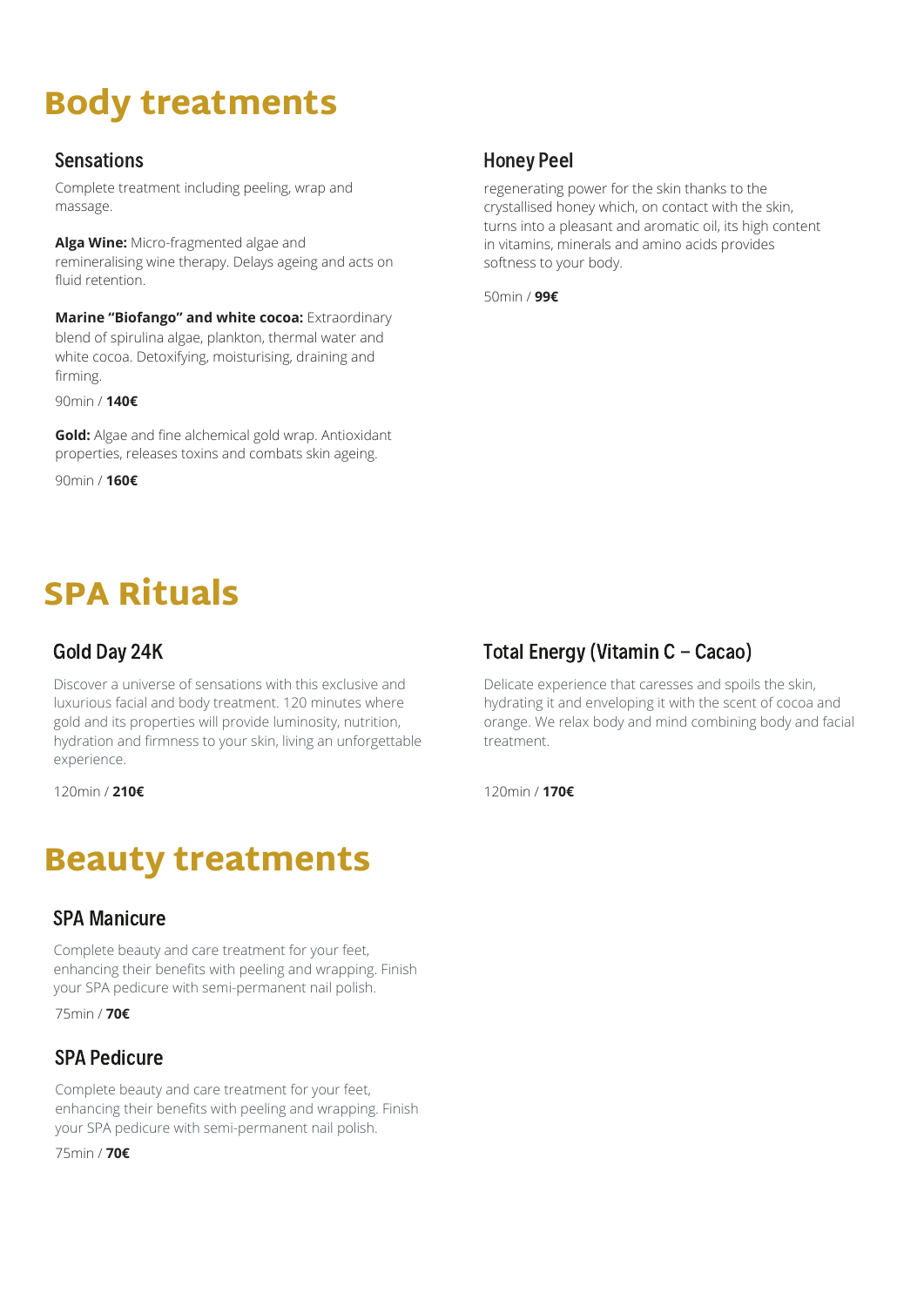# Body treatments

### **Sensations**

Complete treatment including peeling, wrap and massage.

**Alga Wine:** Micro-fragmented algae and remineralising wine therapy. Delays ageing and acts on fluid retention.

**Marine "Biofango" and white cocoa:** Extraordinary blend of spirulina algae, plankton, thermal water and white cocoa. Detoxifying, moisturising, draining and firming.

90min / **140€**

**Gold:** Algae and fine alchemical gold wrap. Antioxidant properties, releases toxins and combats skin ageing.

90min / **160€**

# SPA Rituals

### Gold Day 24K

Discover a universe of sensations with this exclusive and luxurious facial and body treatment. 120 minutes where gold and its properties will provide luminosity, nutrition, hydration and firmness to your skin, living an unforgettable experience.

120min / **210€** 120min / **170€**

# Beauty treatments

#### SPA Manicure

Complete beauty and care treatment for your feet, enhancing their benefits with peeling and wrapping. Finish your SPA pedicure with semi-permanent nail polish.

75min / **70€**

## SPA Pedicure

Complete beauty and care treatment for your feet, enhancing their benefits with peeling and wrapping. Finish your SPA pedicure with semi-permanent nail polish.

75min / **70€**

## Honey Peel

regenerating power for the skin thanks to the crystallised honey which, on contact with the skin, turns into a pleasant and aromatic oil, its high content in vitamins, minerals and amino acids provides softness to your body.

50min / **99€**

## Total Energy (Vitamin C - Cacao)

Delicate experience that caresses and spoils the skin, hydrating it and enveloping it with the scent of cocoa and orange. We relax body and mind combining body and facial treatment.